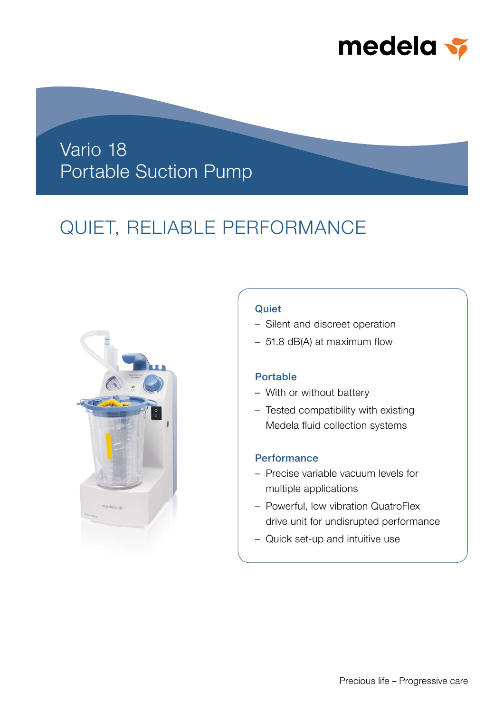

## Vario 18 Portable Suction Pump

# QUIET, RELIABLE PERFORMANCE



## **Quiet**

- Silent and discreet operation
- 51.8 dB(A) at maximum flow

## Portable

- With or without battery
- Tested compatibility with existing Medela fluid collection systems

### **Performance**

- Precise variable vacuum levels for multiple applications
- Powerful, low vibration QuatroFlex drive unit for undisrupted performance
- Quick set-up and intuitive use